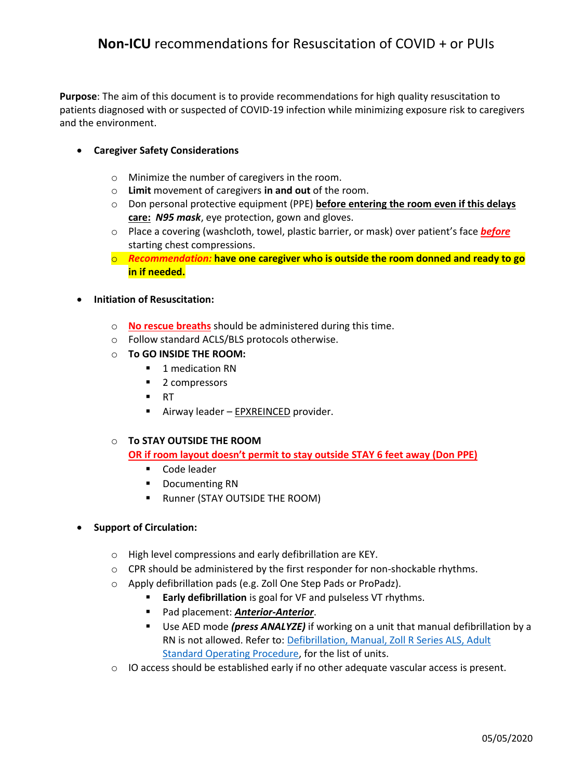**Purpose**: The aim of this document is to provide recommendations for high quality resuscitation to patients diagnosed with or suspected of COVID-19 infection while minimizing exposure risk to caregivers and the environment.

# **Caregiver Safety Considerations**

- o Minimize the number of caregivers in the room.
- o **Limit** movement of caregivers **in and out** of the room.
- o Don personal protective equipment (PPE) **before entering the room even if this delays care:** *N95 mask*, eye protection, gown and gloves.
- o Place a covering (washcloth, towel, plastic barrier, or mask) over patient's face *before*  starting chest compressions.
- o *Recommendation:* **have one caregiver who is outside the room donned and ready to go in if needed.**

### **Initiation of Resuscitation:**

- o **No rescue breaths** should be administered during this time.
- o Follow standard ACLS/BLS protocols otherwise.
- o **To GO INSIDE THE ROOM:**
	- 1 medication RN
	- 2 compressors
	- $\blacksquare$  RT
	- Airway leader EPXREINCED provider.

#### o **To STAY OUTSIDE THE ROOM**

**OR if room layout doesn't permit to stay outside STAY 6 feet away (Don PPE)** 

- Code leader
- **•** Documenting RN
- **Runner (STAY OUTSIDE THE ROOM)**

# **•** Support of Circulation:

- o High level compressions and early defibrillation are KEY.
- $\circ$  CPR should be administered by the first responder for non-shockable rhythms.
- o Apply defibrillation pads (e.g. Zoll One Step Pads or ProPadz).
	- **Early defibrillation** is goal for VF and pulseless VT rhythms.
	- Pad placement: *Anterior-Anterior*.
	- Use AED mode *(press ANALYZE)* if working on a unit that manual defibrillation by a RN is not allowed. Refer to: [Defibrillation, Manual, Zoll R Series ALS, Adult](https://ccf.policytech.com/docview/?docid=58897)  [Standard Operating Procedure,](https://ccf.policytech.com/docview/?docid=58897) for the list of units.
- $\circ$  IO access should be established early if no other adequate vascular access is present.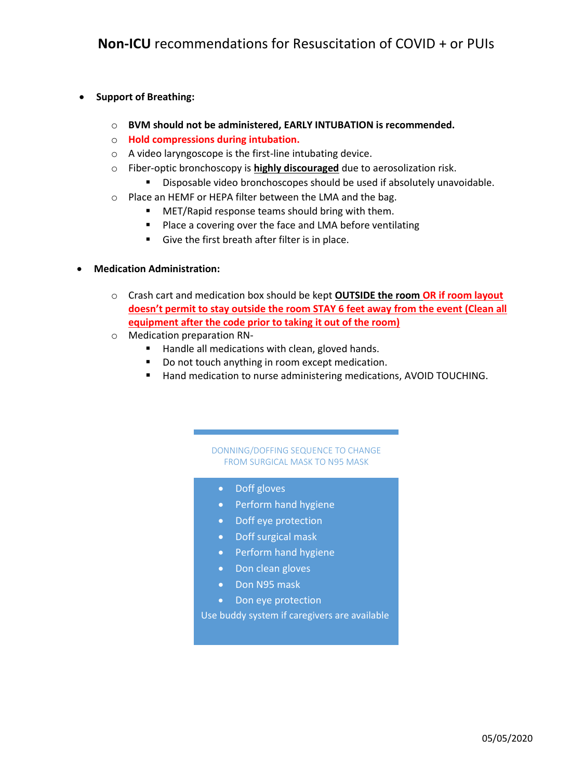# **•** Support of Breathing:

- o **BVM should not be administered, EARLY INTUBATION is recommended.**
- o **Hold compressions during intubation.**
- o A video laryngoscope is the first-line intubating device.
- o Fiber-optic bronchoscopy is **highly discouraged** due to aerosolization risk.
	- **Disposable video bronchoscopes should be used if absolutely unavoidable.**
- o Place an HEMF or HEPA filter between the LMA and the bag.
	- **MET/Rapid response teams should bring with them.**
	- **Place a covering over the face and LMA before ventilating**
	- Give the first breath after filter is in place.

### **Medication Administration:**

- o Crash cart and medication box should be kept **OUTSIDE the room OR if room layout doesn't permit to stay outside the room STAY 6 feet away from the event (Clean all equipment after the code prior to taking it out of the room)**
- o Medication preparation RN-
	- Handle all medications with clean, gloved hands.
	- Do not touch anything in room except medication.
	- Hand medication to nurse administering medications, AVOID TOUCHING.

#### DONNING/DOFFING SEQUENCE TO CHANGE FROM SURGICAL MASK TO N95 MASK

- Doff gloves
- Perform hand hygiene
- Doff eye protection
- Doff surgical mask
- Perform hand hygiene
- Don clean gloves
- Don N95 mask
- Don eye protection

Use buddy system if caregivers are available